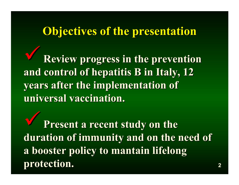## **Objectives of the presentation Objectives of the presentation**

9**Review progress in the progress in the prevention prevention** and control of hepatitis B in Italy, 12 **years after the implementation of universal universal vaccination vaccination .**

**Present a recent study on the duration of immunity and on the need of a booster policy to mantain lifelong booster policy to mantain lifelong protection protection .**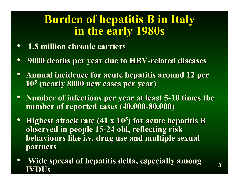### **Burden of hepatitis B in Italy in the early 1980s in the early 1980s**

- **1.5 million chronic carriers 1.5 million chronic carriers**
- •**9000 deaths per year due to HBV 9000 deaths per year due to HBV-related diseases related diseases**
- Annual incidence for acute hepatitis around 12 per **10 5 (nearly 8000 new cases per year) (nearly 8000 new cases per year)**
- Number of infections per year at least 5-10 times the **number of reported cases (40.000 number of reported cases (40.000 -80.000) 80.000)**
- **Highest attack rate (41 x 10<sup>5</sup>) for acute hepatitis B observed in people 15 observed in people 15 -24 old, reflecting risk 24 old, reflecting risk behaviours like i.v. drug use and multiple sexual partners partners**
- •**Wide spread of hepatitis delta, especially among IVDUs IVDUs**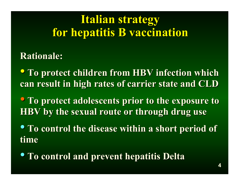## **Italian strategy for hepatitis B vaccination for hepatitis B vaccination**

### **Rationale: Rationale:**

**• To protect children from HBV infection which can result in high rates of carrier state and CLD** 

**• To protect adolescents prior to the exposure to HBV** by the sexual route or through drug use

• **To control the disease within a short period of To control the disease within a short period of time**

• **To control and prevent hepatitis Delta To control and prevent hepatitis Delta**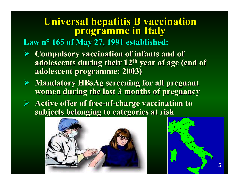# **Universal hepatitis B vaccination Universal hepatitis B vaccination programme in Italy programme in Italy**

**Law n ° 165 of May 27, 1991 established: 165 of May 27, 1991 established:**

- ¾ **Compulsory vaccination of infants and of Compulsory vaccination of infants and of adolescents during their 12<sup>th</sup> year of age (end of adolescent programme: 2003) adolescent programme: 2003)**
- ¾ **Mandatory HBsAg screening for all pregnant Mandatory HBsAg screening for all pregnant women during the last 3 months of pregnancy women during the last 3 months of pregnancy**
- **►** Active offer of free-of-charge vaccination to **subjects belonging to categories at risk subjects belonging to categories at risk**



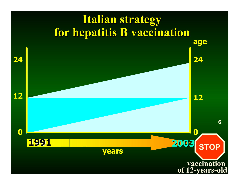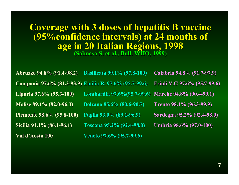### **Coverage with 3 doses of hepatitis B vaccine (95%confidence intervals) at 24 months of (95%confidence intervals) at 24 months of age in 20 Italian Regions, 1998 age in 20 Italian Regions, 1998 (Salmaso Salmaso S. et al., Bull. WHO, 1999) S. et al., Bull. WHO, 1999)**

**Abruzzo Abruzzo 94.8% (91.4 94.8% (91.4 -98.2) Basilicata Basilicata 99.1% (97.8 99.1% (97.8 -100) Calabria Calabria 94.8% (91.7 94.8% (91.7 -97.9) Campania Campania 97.6% (81.3 97.6% (81.3 -93.9) Emilia R. 97.6% (95.7 R. 97.6% (95.7 -99.6) Friuli V.G 97.6% (95.7 V.G 97.6% (95.7 -99.6) Liguria 97.6% (95.3-100) Lombardia 97.6%(95.7-99.6) -99.6) Marche 94.8% (90.4 94.8% (90.4 -99.1) Molise 89.1% (82.0-96.3) -96.3) Bolzano Bolzano 85.6% (80.6 85.6% (80.6 -90.7) Trento 98.1% (96.3 98.1% (96.3 -99.9) Piemonte 98.6% (95.8-100) -100) Puglia 93.0% (89.1 93.0% (89.1 -96.9) Sardegna Sardegna 95.2% (92.4 95.2% (92.4 -98.0) Sicilia 91.1% (86.1-96.1) -96.1) Toscana 95.2% (92.4 Toscana 95.2% (92.4 -98.0) Umbria 98.6% (97.0 98.6% (97.0 -100) Val d'Aosta d'Aosta 100 Veneto 97.6% (95.7 97.6% (95.7 -99.6)**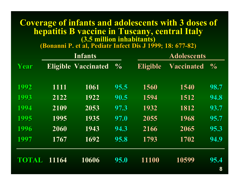#### **Coverage of infants and adolescents with 3 doses of hepatitis B vaccine in Tuscany, central Italy hepatitis B vaccine in Tuscany, central Italy (3.5 million inhabitants) (3.5 million inhabitants)**

**(Bonanni Bonanni P. et al, P. et al, Pediatr Pediatr Infect Dis J 1999; 18: 677 J 1999; 18: 677 -82)**

|       |                 | <b>Infants</b>    | <b>Adolescents</b> |                 |                   |               |
|-------|-----------------|-------------------|--------------------|-----------------|-------------------|---------------|
| Year  | <b>Eligible</b> | <b>Vaccinated</b> | $\frac{1}{2}$      | <b>Eligible</b> | <b>Vaccinated</b> | $\frac{1}{2}$ |
| 1992  | 1111            | 1061              | 95.5               | 1560            | 1540              | 98.7          |
| 1993  | 2122            | 1922              | 90.5               | 1594            | 1512              | 94.8          |
| 1994  | 2109            | 2053              | 97.3               | 1932            | 1812              | 93.7          |
| 1995  | 1995            | 1935              | 97.0               | 2055            | 1968              | 95.7          |
| 1996  | 2060            | 1943              | 94.3               | 2166            | 2065              | 95.3          |
| 1997  | 1767            | 1692              | 95.8               | 1793            | 1702              | 94.9          |
| TOTAL | 11164           | 10606             | <b>95.0</b>        | 11100           | 10599             | 95.4          |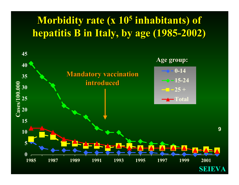### **Morbidity rate (x 10<sup>5</sup> inhabitants) of hepatitis hepatitis B in Italy, by age (1985-2002)**

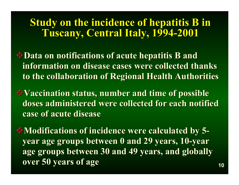### **Study on the incidence of hepatitis B in Tuscany, Central Italy, 1994 Tuscany, Central Italy, 1994 -2001**

- **Example 3 Data on notifications of acute hepatitis B and information on disease cases were collected thanks information on disease cases were collected thanks to the collaboration of Regional Health Authorities to the collaboration of Regional Health Authorities**
- **Vaccination status, number and time of possible Vaccination status, number and time of possible**  doses administered were collected for each notified **case of acute disease case of acute disease**
- **Modifications of incidence were calculated by 5 Modifications of incidence were calculated by 5 year age groups between 0 and 29 years, 10 year age groups between 0 and 29 years, 10 -year**  age groups between 30 and 49 years, and globally **over 50 years of age**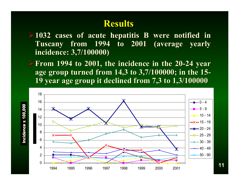#### **Results Results**

**►1032 cases of acute hepatitis B were notified in Tuscany from 1994 to 2001 (average yearly incidence: 3,7/100000) incidence: 3,7/100000)**

**► From 1994 to 2001, the incidence in the 20-24 year age group turned from 14,3 to 3,7/100000; in the 15 age group turned from 14,3 to 3,7/100000; in the 15- 19 year age group it declined from 7,3 to 1,3/100000 19 year age group it declined from 7,3 to 1,3/100000**



**11**

**Incid e n**

**ce x 100,000 Incidence x 100,000**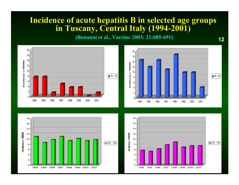#### **Incidence of acute hepatitis B in selected age groups Incidence of acute hepatitis B in selected age groups in Tuscany, Central Italy (1994 in Tuscany, Central Italy (1994 -2001)**

**(Bonanni Bonanni et al., Vaccine 2003; 21:685 et al., Vaccine 2003; 21:685 -691) <sup>12</sup>**





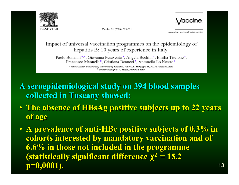

Vaccine 21 (2003) 685-691



www.elsevier.com/locate/vaccine

#### Impact of universal vaccination programmes on the epidemiology of hepatitis B: 10 years of experience in Italy

Paolo Bonanni<sup>a,\*</sup>, Giovanna Pesavento<sup>a</sup>, Angela Bechini<sup>a</sup>, Emilia Tiscione<sup>a</sup>, Francesco Mannelli<sup>b</sup>, Cristiana Benucci<sup>b</sup>, Antonella Lo Nostro<sup>a</sup>

<sup>a</sup> Public Health Department, University of Florence, Viale G.B. Morgagni 48, 50134 Florence, Italy <sup>b</sup> Pediatric Hospital A. Mever, Florence, Italy

- **A seroepidemiological study on 394 blood samples A seroepidemiological study on 394 blood samples collected in Tuscany showed: collected in Tuscany showed:**
- **The absence of HBsAg positive subjects up to 22 years The absence of HBsAg positive subjects up to 22 years of age**
- A prevalence of anti-HBc positive subjects of 0.3% in **cohorts interested by mandatory vaccination and of cohorts interested by mandatory vaccination and of 6.6% in those not included in the programme 6.6% in those not included in the programme (statistically significant difference**  $\chi^2 = 15,2$ **p=0,0001). p=0,0001). <sup>13</sup>**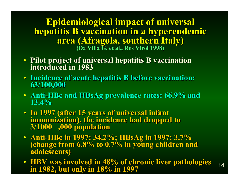**Epidemiological impact of universal Epidemiological impact of universal hepatitis B vaccination in a hyperendemic area (Afragola Afragola, southern Italy) , southern Italy) (Da Villa G. et al., Res Virol 1998)** 

- **Pilot project of universal hepatitis B vaccination Pilot project of universal hepatitis B vaccination introduced in 1983introduced in 1983**
- **Incidence of acute hepatitis B before vaccination: Incidence of acute hepatitis B before vaccination: 63/100,000 63/100,000**
- Anti-HBc and HBsAg prevalence rates: 66.9% and 13.4%
- In 1997 (after 15 years of universal infant immunization), the incidence had dropped to<br>3/1000 ,000 population
- **Anti** (change from 6.8% to 0.7% in young children and adolescents)
- **HBV was involved in 48% of chronic liver pathologies in 1982, but only in 18% in 1997 <sup>14</sup> in 1982, but only in 18% in 1997**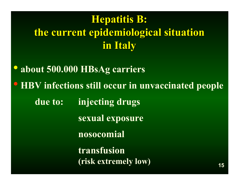# **Hepatitis Hepatitis B: the current epidemiological situation current epidemiological situation in Italy**

• **about 500.000 HBsAg carriers** • **HBV infections still occur in unvaccinated people due to: injecting drugs sexual exposure nosocomial transfusion (risk extremely low) <sup>15</sup>**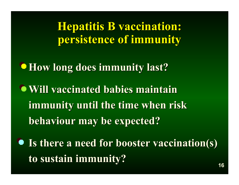**Hepatitis B vaccination: persistence persistence of immunity immunity**

**How long does immunity last?** 

 $\bullet$  **Will vaccinated babies maintain** immunity until the time when risk **behaviour may be expected? behaviour may be expected?**

**• Is there a need for booster vaccination(s) to sustain immunity to sustain immunity? 16**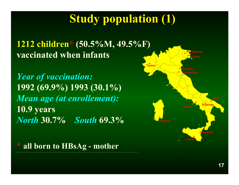# **Study population (1) Study population (1)**

#### **1212 children \* (50.5%M, 49.5%F) vaccinated when infants**

*Year of vaccination:* **1992 (69.9%) 1993 (30.1%)** *Mean age (at enrollement):* **10.9 years** *North* **30.7%** *South* **69.3%**



**\* all born to HBsAg - mother**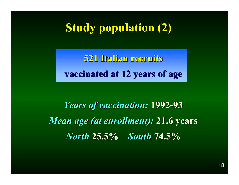# **Study population (2)**

**521 Italian recruits 521 Italian recruits vaccinated at 12 years of age vaccinated at 12 years of age**

*Years of vaccination: Years of vaccination:* **1992 -93** *Mean age (at enrollment):* 21.6 years *North* **25.5% 25.5%** *South* **74.5%**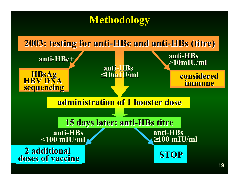### **Methodology Methodology**

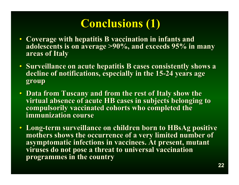# **Conclusions (1) Conclusions (1)**

- **Coverage with hepatitis B Coverage with hepatitis B vaccination vaccination in infants and in infants and adolescents is on average >90%, and exceeds 95% in many adolescents is on average >90%, and exceeds 95% in many areas of Italy areas of Italy**
- Surveillance on acute hepatitis B cases consistently shows a **decline of notifications, especially in the 15-24 years age**  $\overline{a}$ **group**
- **Data from Tuscany and from the rest of Italy show the** virtual absence of acute HB cases in subjects belonging to **compulsorily vaccinated cohorts who completed the immunization course immunization course**
- **Long-term surveillance on children born to HBsAg positive** mothers shows the occurrence of a very limited number of **asymptomatic infections in vaccinees. At present, mutant** viruses do not pose a threat to universal vaccination **programmes in the country programmes in the country**